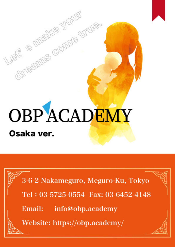# **OBPACADEMY** Osaka ver.

directions compared

3-6-2 Nakameguro, Meguro-Ku, Tokyo Tel: 03-5725-0554 Fax: 03-6452-4148

Email: info@obp.academy

Website: https://obp.academy/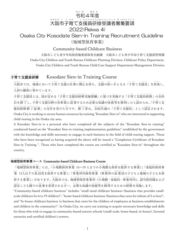## 令 れい わ 和 4年 ねん 度 ど 大阪市子育て支援員研修受講者募集要項 お お さ か し こ そ だ し え ん い ん け ん しゅうじゅ こうしゃ ほ しゅうようこう 2022(Reiwa 4)

Osaka City Kosodate Sien-in Training Recruitment Guideline (地域型保育事業)

# Community-based Childcare Business

大阪市こども青少年局保育施策部保育企画課 大阪市こども青少年局子育て支援部管理課 Osaka City Children and Youth Bureau Childcare Planning Division, Childcare Policy Department, Osaka City Children and Youth Bureau Child Care Support Department Management Division

### 子育て支援員研修 こ そ だ し え ん い ん け ん しゅう Kosodate Sien-in Training Course

大 お お 阪 さ か 市 し では、地 ち 域 い き において子 こ 育 そ だ て支 し 援 え ん の仕 し 事 ご と に関 か ん 心 し ん を持 も ち、支 し 援 え ん の担 に な い手 て となる「子 こ 育 そ だ て支 し 援 え ん 員 い ん 」を育 い く 成 せ い し、 人 じ ん 材 ざ い の確 か く 保 ほ に努 つ と めています。

こに、した…。<br>子育て支援員とは、国が定める「子育て支援員研修実施要綱」に基づき実施する「子育て支援員研修」の全科 いっぱい。<br>日を修了し、子育て支援分野の各事業に従事するため必要な知識や技術等を修得したと認められ、「子育て支 援 え ん 員 い ん 研 け ん 修 しゅう 修 しゅう 了 りょう 証 しょう 書 し ょ 」の交 こ う 付 ふ を受 う けた方 ほ う です。修 しゅう 了 りょう 者 し ゃ は、全 ぜ ん 国 こ く 共 きょう 通 つ う の「子 こ 育 そ だ て支 し 援 え ん 員 い ん 」として認 に ん 定 て い されます。 Osaka City is working to secure human resources by training "Kosodate Sien-in" who are interested in supporting child-rearing in the Osaka city area.

A Kosodate Sien-in is a personal who have completed all the subjects of the "Kosodate Sien-in training" conducted based on the "Kosodate Sien-in training implementation guidelines" established by the government with the knowledge and skills necessary to engage in each business in the field of child-rearing support. Those who have been recognized as having acquired the above will be issued a "Completion Certificate of Kosodate Sien-in Training ". Those who have completed the course are certified as "Kosodate Sien-in" throughout the country.

### 地 域 型 保 育 事 業 コース Community-based Childcare Business Course ち い き が た ほ い く ぎょう

「地 ち 域 い き 型 が た 保 ほ 育 い く 事 じ 業 ぎょう 」には、「小 しょう 規 き 模 ぼ 保 ほ 育 い く 事 じ 業 ぎょう (6~19 人までの小 しょう 規 き 模 ぼ な保 ほ 育 い く を提 て い 供 きょう する事 じ 業 ぎょう )」「家 か 庭 て い 的 て き 保 ほ 育 い く 事 じ 業 ぎょう (5人 に ん 以 い 下 か の乳 にゅう 幼 よ う 児 じ を保 ほ 育 い く する事 じ 業 ぎょう )」「事 じ 業 ぎょう 所 し ょ 内 な い 保 ほ 育 い く 事 じ 業 ぎょう (事 じ 業 ぎょう 所 し ょ の従 じゅう 業 ぎょう 員 い ん の子 こ どもと地 ち 域 い き の子 こ どもを保 ほ い、しいま。<br>育する事業)」があります。大阪市では、地域型保育事業所(小規模・家庭的・事業所内)、認可保育園および になる。<br>認定こども園での従事を希望される方へ、必要な知識や技能等を修得するための研修を実施します。

"Community-based childcare business" includes "small-sized childcare business (business that provides smallscale childcare for 6 to 19 children)", "home-based childcare business (business that cares for infants of 5 or less)", and "In-house childcare business (a business that cares for the children of employees at business establishments and children in the community)". In Osaka City, we carry out training to acquire necessary knowledge and skills for those who wish to engage in community-based nursery schools (small-scale, home-based, in-house), licensed nurseries and certified children's centers.